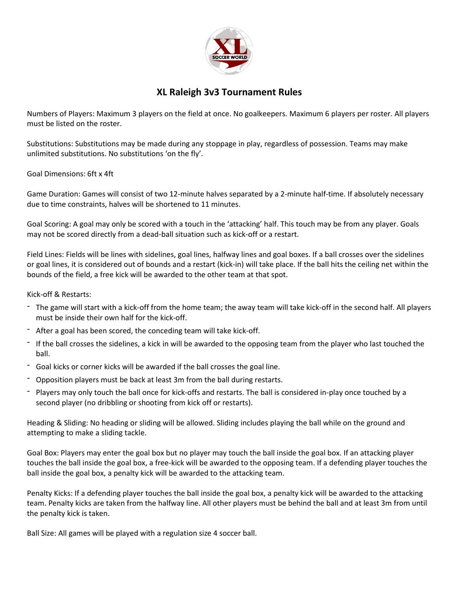

## **XL Raleigh 3v3 Tournament Rules**

Numbers of Players: Maximum 3 players on the field at once. No goalkeepers. Maximum 6 players per roster. All players must be listed on the roster.

Substitutions: Substitutions may be made during any stoppage in play, regardless of possession. Teams may make unlimited substitutions. No substitutions 'on the fly'.

Goal Dimensions: 6ft x 4ft

Game Duration: Games will consist of two 12-minute halves separated by a 2-minute half-time. If absolutely necessary due to time constraints, halves will be shortened to 11 minutes.

Goal Scoring: A goal may only be scored with a touch in the 'attacking' half. This touch may be from any player. Goals may not be scored directly from a dead-ball situation such as kick-off or a restart.

Field Lines: Fields will be lines with sidelines, goal lines, halfway lines and goal boxes. If a ball crosses over the sidelines or goal lines, it is considered out of bounds and a restart (kick-in) will take place. If the ball hits the ceiling net within the bounds of the field, a free kick will be awarded to the other team at that spot.

Kick-off & Restarts:

- The game will start with a kick-off from the home team; the away team will take kick-off in the second half. All players must be inside their own half for the kick-off.
- After a goal has been scored, the conceding team will take kick-off.
- If the ball crosses the sidelines, a kick in will be awarded to the opposing team from the player who last touched the ball.
- Goal kicks or corner kicks will be awarded if the ball crosses the goal line.
- Opposition players must be back at least 3m from the ball during restarts.
- Players may only touch the ball once for kick-offs and restarts. The ball is considered in-play once touched by a second player (no dribbling or shooting from kick off or restarts).

Heading & Sliding: No heading or sliding will be allowed. Sliding includes playing the ball while on the ground and attempting to make a sliding tackle.

Goal Box: Players may enter the goal box but no player may touch the ball inside the goal box. If an attacking player touches the ball inside the goal box, a free-kick will be awarded to the opposing team. If a defending player touches the ball inside the goal box, a penalty kick will be awarded to the attacking team.

Penalty Kicks: If a defending player touches the ball inside the goal box, a penalty kick will be awarded to the attacking team. Penalty kicks are taken from the halfway line. All other players must be behind the ball and at least 3m from until the penalty kick is taken.

Ball Size: All games will be played with a regulation size 4 soccer ball.